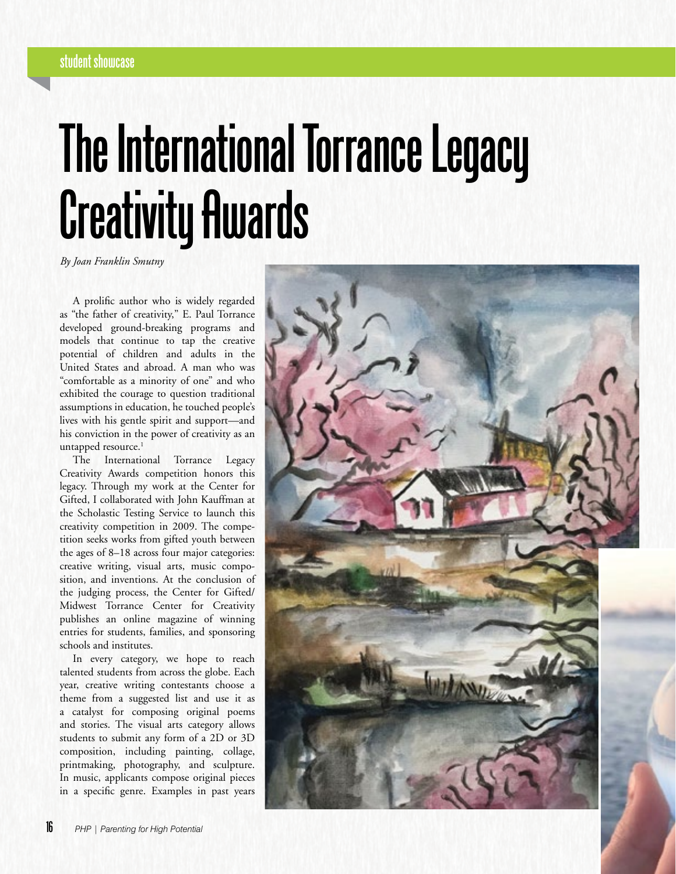# **student showcase**

# **The International Torrance Legacy Creativity Awards**

*By Joan Franklin Smutny*

A prolific author who is widely regarded as "the father of creativity," E. Paul Torrance developed ground-breaking programs and models that continue to tap the creative potential of children and adults in the United States and abroad. A man who was "comfortable as a minority of one" and who exhibited the courage to question traditional assumptions in education, he touched people's lives with his gentle spirit and support—and his conviction in the power of creativity as an untapped resource.<sup>1</sup>

The International Torrance Legacy Creativity Awards competition honors this legacy. Through my work at the Center for Gifted, I collaborated with John Kauffman at the Scholastic Testing Service to launch this creativity competition in 2009. The competition seeks works from gifted youth between the ages of 8–18 across four major categories: creative writing, visual arts, music composition, and inventions. At the conclusion of the judging process, the Center for Gifted/ Midwest Torrance Center for Creativity publishes an online magazine of winning entries for students, families, and sponsoring schools and institutes.

In every category, we hope to reach talented students from across the globe. Each year, creative writing contestants choose a theme from a suggested list and use it as a catalyst for composing original poems and stories. The visual arts category allows students to submit any form of a 2D or 3D composition, including painting, collage, printmaking, photography, and sculpture. In music, applicants compose original pieces in a specific genre. Examples in past years